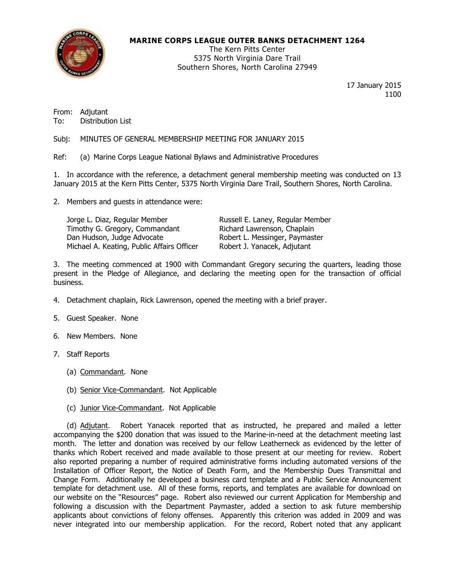

## MARINE CORPS LEAGUE OUTER BANKS DETACHMENT 1264

The Kern Pitts Center 5375 North Virginia Dare Trail Southern Shores, North Carolina 27949

> 17 January 2015 1100

From: Adjutant To: Distribution List

Subj: MINUTES OF GENERAL MEMBERSHIP MEETING FOR JANUARY 2015

Ref: (a) Marine Corps League National Bylaws and Administrative Procedures

1. In accordance with the reference, a detachment general membership meeting was conducted on 13 January 2015 at the Kern Pitts Center, 5375 North Virginia Dare Trail, Southern Shores, North Carolina.

2. Members and guests in attendance were:

| Jorge L. Diaz, Regular Member              | Russell E. Laney, Regular Member |
|--------------------------------------------|----------------------------------|
| Timothy G. Gregory, Commandant             | Richard Lawrenson, Chaplain      |
| Dan Hudson, Judge Advocate                 | Robert L. Messinger, Paymaster   |
| Michael A. Keating, Public Affairs Officer | Robert J. Yanacek, Adjutant      |

3. The meeting commenced at 1900 with Commandant Gregory securing the quarters, leading those present in the Pledge of Allegiance, and declaring the meeting open for the transaction of official business.

- 4. Detachment chaplain, Rick Lawrenson, opened the meeting with a brief prayer.
- 5. Guest Speaker. None
- 6. New Members. None
- 7. Staff Reports
	- (a) Commandant. None
	- (b) Senior Vice-Commandant. Not Applicable
	- (c) Junior Vice-Commandant. Not Applicable

 (d) Adjutant. Robert Yanacek reported that as instructed, he prepared and mailed a letter accompanying the \$200 donation that was issued to the Marine-in-need at the detachment meeting last month. The letter and donation was received by our fellow Leatherneck as evidenced by the letter of thanks which Robert received and made available to those present at our meeting for review. Robert also reported preparing a number of required administrative forms including automated versions of the Installation of Officer Report, the Notice of Death Form, and the Membership Dues Transmittal and Change Form. Additionally he developed a business card template and a Public Service Announcement template for detachment use. All of these forms, reports, and templates are available for download on our website on the "Resources" page. Robert also reviewed our current Application for Membership and following a discussion with the Department Paymaster, added a section to ask future membership applicants about convictions of felony offenses. Apparently this criterion was added in 2009 and was never integrated into our membership application. For the record, Robert noted that any applicant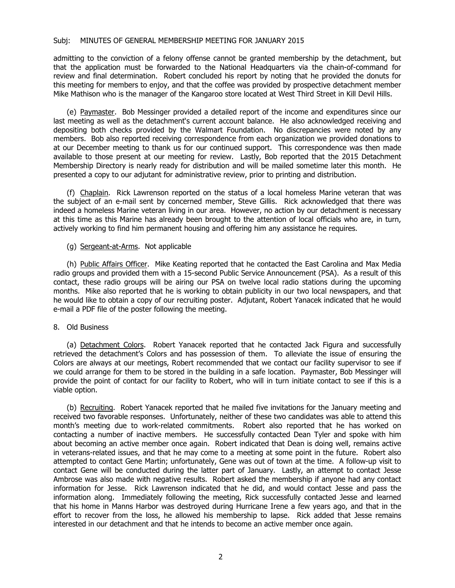## Subj: MINUTES OF GENERAL MEMBERSHIP MEETING FOR JANUARY 2015

admitting to the conviction of a felony offense cannot be granted membership by the detachment, but that the application must be forwarded to the National Headquarters via the chain-of-command for review and final determination. Robert concluded his report by noting that he provided the donuts for this meeting for members to enjoy, and that the coffee was provided by prospective detachment member Mike Mathison who is the manager of the Kangaroo store located at West Third Street in Kill Devil Hills.

 (e) Paymaster. Bob Messinger provided a detailed report of the income and expenditures since our last meeting as well as the detachment's current account balance. He also acknowledged receiving and depositing both checks provided by the Walmart Foundation. No discrepancies were noted by any members. Bob also reported receiving correspondence from each organization we provided donations to at our December meeting to thank us for our continued support. This correspondence was then made available to those present at our meeting for review. Lastly, Bob reported that the 2015 Detachment Membership Directory is nearly ready for distribution and will be mailed sometime later this month. He presented a copy to our adjutant for administrative review, prior to printing and distribution.

 (f) Chaplain. Rick Lawrenson reported on the status of a local homeless Marine veteran that was the subject of an e-mail sent by concerned member, Steve Gillis. Rick acknowledged that there was indeed a homeless Marine veteran living in our area. However, no action by our detachment is necessary at this time as this Marine has already been brought to the attention of local officials who are, in turn, actively working to find him permanent housing and offering him any assistance he requires.

(g) Sergeant-at-Arms. Not applicable

 (h) Public Affairs Officer. Mike Keating reported that he contacted the East Carolina and Max Media radio groups and provided them with a 15-second Public Service Announcement (PSA). As a result of this contact, these radio groups will be airing our PSA on twelve local radio stations during the upcoming months. Mike also reported that he is working to obtain publicity in our two local newspapers, and that he would like to obtain a copy of our recruiting poster. Adjutant, Robert Yanacek indicated that he would e-mail a PDF file of the poster following the meeting.

8. Old Business

 (a) Detachment Colors. Robert Yanacek reported that he contacted Jack Figura and successfully retrieved the detachment's Colors and has possession of them. To alleviate the issue of ensuring the Colors are always at our meetings, Robert recommended that we contact our facility supervisor to see if we could arrange for them to be stored in the building in a safe location. Paymaster, Bob Messinger will provide the point of contact for our facility to Robert, who will in turn initiate contact to see if this is a viable option.

 (b) Recruiting. Robert Yanacek reported that he mailed five invitations for the January meeting and received two favorable responses. Unfortunately, neither of these two candidates was able to attend this month's meeting due to work-related commitments. Robert also reported that he has worked on contacting a number of inactive members. He successfully contacted Dean Tyler and spoke with him about becoming an active member once again. Robert indicated that Dean is doing well, remains active in veterans-related issues, and that he may come to a meeting at some point in the future. Robert also attempted to contact Gene Martin; unfortunately, Gene was out of town at the time. A follow-up visit to contact Gene will be conducted during the latter part of January. Lastly, an attempt to contact Jesse Ambrose was also made with negative results. Robert asked the membership if anyone had any contact information for Jesse. Rick Lawrenson indicated that he did, and would contact Jesse and pass the information along. Immediately following the meeting, Rick successfully contacted Jesse and learned that his home in Manns Harbor was destroyed during Hurricane Irene a few years ago, and that in the effort to recover from the loss, he allowed his membership to lapse. Rick added that Jesse remains interested in our detachment and that he intends to become an active member once again.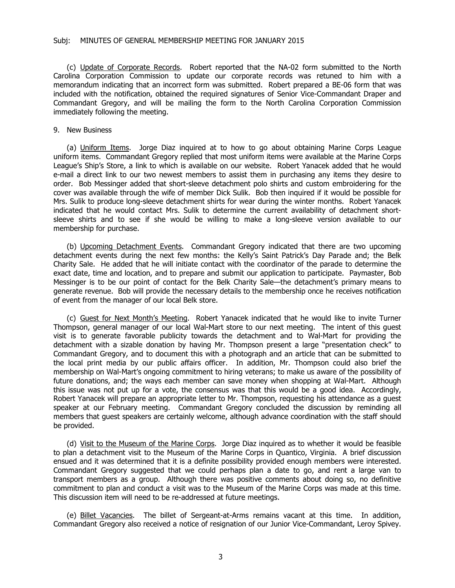(c) Update of Corporate Records. Robert reported that the NA-02 form submitted to the North Carolina Corporation Commission to update our corporate records was retuned to him with a memorandum indicating that an incorrect form was submitted. Robert prepared a BE-06 form that was included with the notification, obtained the required signatures of Senior Vice-Commandant Draper and Commandant Gregory, and will be mailing the form to the North Carolina Corporation Commission immediately following the meeting.

## 9. New Business

 (a) Uniform Items. Jorge Diaz inquired at to how to go about obtaining Marine Corps League uniform items. Commandant Gregory replied that most uniform items were available at the Marine Corps League's Ship's Store, a link to which is available on our website. Robert Yanacek added that he would e-mail a direct link to our two newest members to assist them in purchasing any items they desire to order. Bob Messinger added that short-sleeve detachment polo shirts and custom embroidering for the cover was available through the wife of member Dick Sulik. Bob then inquired if it would be possible for Mrs. Sulik to produce long-sleeve detachment shirts for wear during the winter months. Robert Yanacek indicated that he would contact Mrs. Sulik to determine the current availability of detachment shortsleeve shirts and to see if she would be willing to make a long-sleeve version available to our membership for purchase.

 (b) Upcoming Detachment Events. Commandant Gregory indicated that there are two upcoming detachment events during the next few months: the Kelly's Saint Patrick's Day Parade and; the Belk Charity Sale. He added that he will initiate contact with the coordinator of the parade to determine the exact date, time and location, and to prepare and submit our application to participate. Paymaster, Bob Messinger is to be our point of contact for the Belk Charity Sale—the detachment's primary means to generate revenue. Bob will provide the necessary details to the membership once he receives notification of event from the manager of our local Belk store.

 (c) Guest for Next Month's Meeting. Robert Yanacek indicated that he would like to invite Turner Thompson, general manager of our local Wal-Mart store to our next meeting. The intent of this guest visit is to generate favorable publicity towards the detachment and to Wal-Mart for providing the detachment with a sizable donation by having Mr. Thompson present a large "presentation check" to Commandant Gregory, and to document this with a photograph and an article that can be submitted to the local print media by our public affairs officer. In addition, Mr. Thompson could also brief the membership on Wal-Mart's ongoing commitment to hiring veterans; to make us aware of the possibility of future donations, and; the ways each member can save money when shopping at Wal-Mart. Although this issue was not put up for a vote, the consensus was that this would be a good idea. Accordingly, Robert Yanacek will prepare an appropriate letter to Mr. Thompson, requesting his attendance as a guest speaker at our February meeting. Commandant Gregory concluded the discussion by reminding all members that guest speakers are certainly welcome, although advance coordination with the staff should be provided.

 (d) Visit to the Museum of the Marine Corps. Jorge Diaz inquired as to whether it would be feasible to plan a detachment visit to the Museum of the Marine Corps in Quantico, Virginia. A brief discussion ensued and it was determined that it is a definite possibility provided enough members were interested. Commandant Gregory suggested that we could perhaps plan a date to go, and rent a large van to transport members as a group. Although there was positive comments about doing so, no definitive commitment to plan and conduct a visit was to the Museum of the Marine Corps was made at this time. This discussion item will need to be re-addressed at future meetings.

 (e) Billet Vacancies. The billet of Sergeant-at-Arms remains vacant at this time. In addition, Commandant Gregory also received a notice of resignation of our Junior Vice-Commandant, Leroy Spivey.